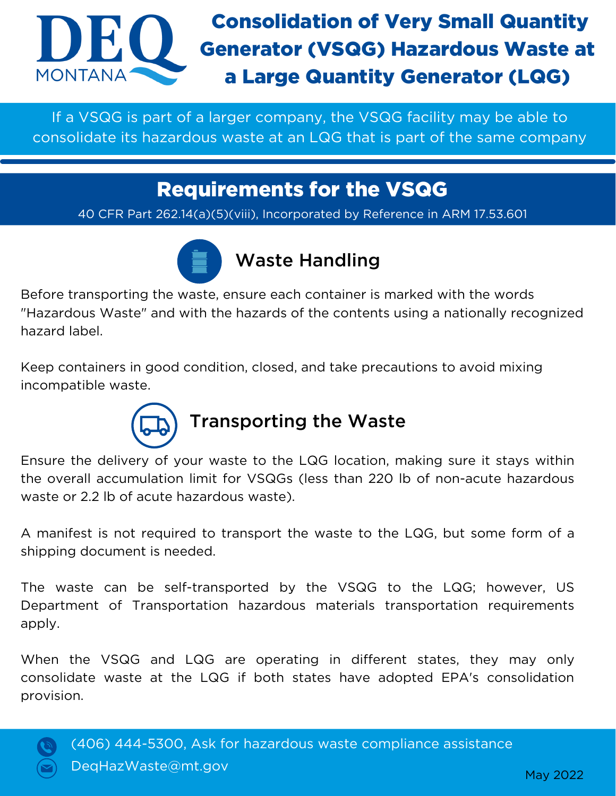

If a VSQG is part of a larger company, the VSQG facility may be able to consolidate its hazardous waste at an LQG that is part of the same company

## Requirements for the VSQG

40 CFR Part 262.14(a)(5)(viii), Incorporated by Reference in ARM 17.53.601



## Waste Handling

Before transporting the waste, ensure each container is marked with the words "Hazardous Waste" and with the hazards of the contents using a nationally recognized hazard label.

Keep containers in good condition, closed, and take precautions to avoid mixing incompatible waste.



## Transporting the Waste

Ensure the delivery of your waste to the LQG location, making sure it stays within the overall accumulation limit for VSQGs (less than 220 lb of non-acute hazardous waste or 2.2 lb of acute hazardous waste).

A manifest is not required to transport the waste to the LQG, but some form of a shipping document is needed.

The waste can be self-transported by the VSQG to the LQG; however, US Department of Transportation hazardous materials transportation requirements apply.

When the VSQG and LQG are operating in different states, they may only consolidate waste at the LQG if both states have adopted EPA's consolidation provision.